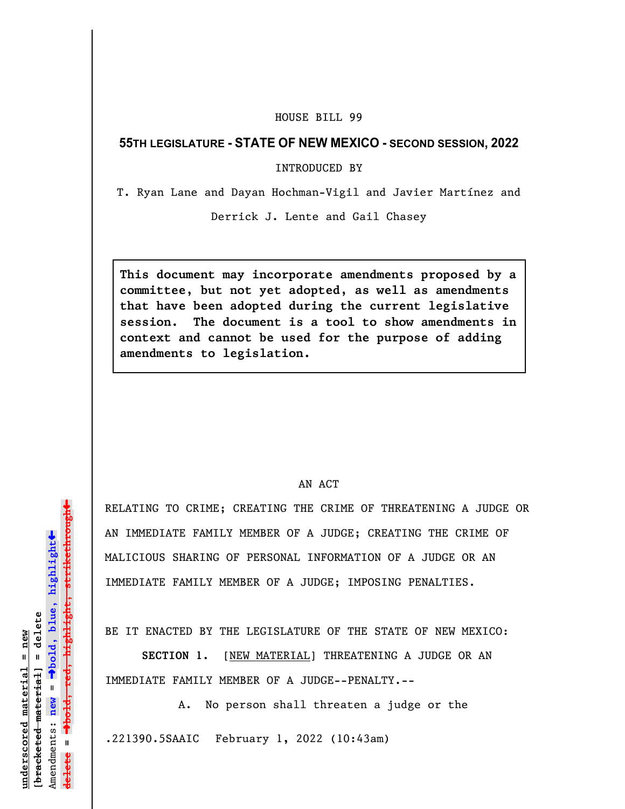## HOUSE BILL 99

## **55TH LEGISLATURE - STATE OF NEW MEXICO - SECOND SESSION, 2022**

INTRODUCED BY

T. Ryan Lane and Dayan Hochman-Vigil and Javier Martínez and

Derrick J. Lente and Gail Chasey

**This document may incorporate amendments proposed by a committee, but not yet adopted, as well as amendments that have been adopted during the current legislative session. The document is a tool to show amendments in context and cannot be used for the purpose of adding amendments to legislation.**

## AN ACT

RELATING TO CRIME; CREATING THE CRIME OF THREATENING A JUDGE OR AN IMMEDIATE FAMILY MEMBER OF A JUDGE; CREATING THE CRIME OF MALICIOUS SHARING OF PERSONAL INFORMATION OF A JUDGE OR AN IMMEDIATE FAMILY MEMBER OF A JUDGE; IMPOSING PENALTIES.

BE IT ENACTED BY THE LEGISLATURE OF THE STATE OF NEW MEXICO:

**SECTION 1.** [NEW MATERIAL] THREATENING A JUDGE OR AN IMMEDIATE FAMILY MEMBER OF A JUDGE--PENALTY.--

A. No person shall threaten a judge or the .221390.5SAAIC February 1, 2022 (10:43am)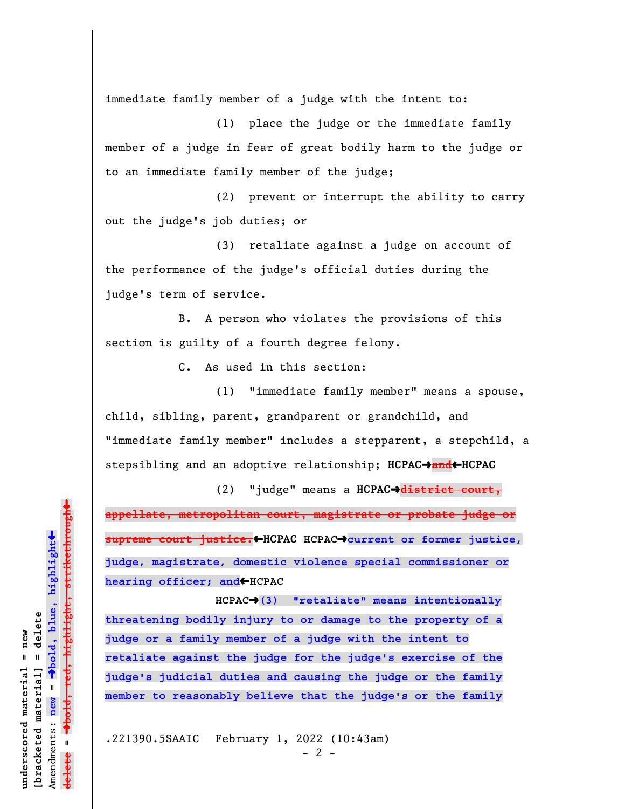immediate family member of a judge with the intent to:

(1) place the judge or the immediate family member of a judge in fear of great bodily harm to the judge or to an immediate family member of the judge;

(2) prevent or interrupt the ability to carry out the judge's job duties; or

(3) retaliate against a judge on account of the performance of the judge's official duties during the judge's term of service.

B. A person who violates the provisions of this section is guilty of a fourth degree felony.

C. As used in this section:

(1) "immediate family member" means a spouse, child, sibling, parent, grandparent or grandchild, and "immediate family member" includes a stepparent, a stepchild, a stepsibling and an adoptive relationship; **HCPAC**º**and**»**HCPAC**

(2) "judge" means a **HCPAC**º**district court, appellate, metropolitan court, magistrate or probate judge or supreme court justice.**»**HCPAC HCPAC**º**current or former justice, judge, magistrate, domestic violence special commissioner or** hearing officer; and<sup>+</sup>HCPAC

**HCPAC**º**(3) "retaliate" means intentionally threatening bodily injury to or damage to the property of a judge or a family member of a judge with the intent to retaliate against the judge for the judge's exercise of the judge's judicial duties and causing the judge or the family member to reasonably believe that the judge's or the family**

.221390.5SAAIC February 1, 2022 (10:43am)

**underscored material = new [bracketed material] = delete**

bracketed material] = delete inderscored material = new

Amendments: **new** =

Amendments: new =

**delete =**

lelete

º**bold, blue, highlight**

º**bold, red, highlight, strikethrough**

 $\ddot{\bullet}$ 

 $\ddag$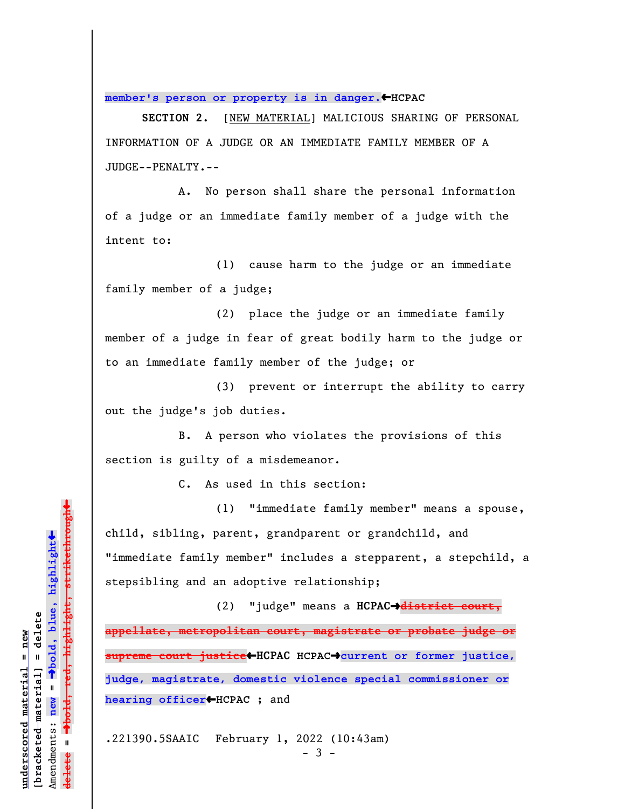**member's person or property is in danger.**»**HCPAC**

**SECTION 2.** [NEW MATERIAL] MALICIOUS SHARING OF PERSONAL INFORMATION OF A JUDGE OR AN IMMEDIATE FAMILY MEMBER OF A JUDGE--PENALTY.--

A. No person shall share the personal information of a judge or an immediate family member of a judge with the intent to:

(1) cause harm to the judge or an immediate family member of a judge;

(2) place the judge or an immediate family member of a judge in fear of great bodily harm to the judge or to an immediate family member of the judge; or

(3) prevent or interrupt the ability to carry out the judge's job duties.

B. A person who violates the provisions of this section is guilty of a misdemeanor.

C. As used in this section:

(1) "immediate family member" means a spouse, child, sibling, parent, grandparent or grandchild, and "immediate family member" includes a stepparent, a stepchild, a stepsibling and an adoptive relationship;

(2) "judge" means a **HCPAC**º**district court, appellate, metropolitan court, magistrate or probate judge or supreme court justice**»**HCPAC HCPAC**º**current or former justice, judge, magistrate, domestic violence special commissioner or hearing officer**»**HCPAC** ; and

.221390.5SAAIC February 1, 2022 (10:43am)